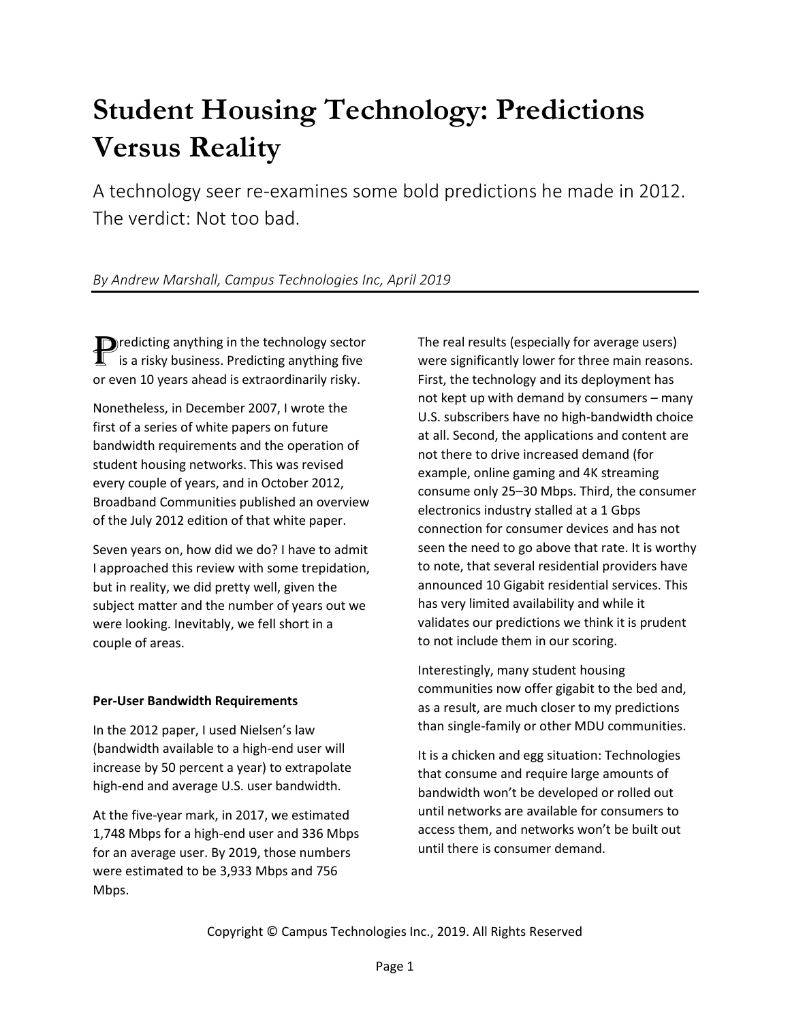# **Student Housing Technology: Predictions Versus Reality**

A technology seer re-examines some bold predictions he made in 2012. The verdict: Not too bad.

# *By Andrew Marshall, Campus Technologies Inc, April 2019*

**D** redicting anything in the technology sector<br> **1** is a risky business. Predicting anything five is a risky business. Predicting anything five or even 10 years ahead is extraordinarily risky.

Nonetheless, in December 2007, I wrote the first of a series of white papers on future bandwidth requirements and the operation of student housing networks. This was revised every couple of years, and in October 2012, Broadband Communities published an overview of the July 2012 edition of that white paper.

Seven years on, how did we do? I have to admit I approached this review with some trepidation, but in reality, we did pretty well, given the subject matter and the number of years out we were looking. Inevitably, we fell short in a couple of areas.

## **Per-User Bandwidth Requirements**

In the 2012 paper, I used Nielsen's law (bandwidth available to a high-end user will increase by 50 percent a year) to extrapolate high-end and average U.S. user bandwidth.

At the five-year mark, in 2017, we estimated 1,748 Mbps for a high-end user and 336 Mbps for an average user. By 2019, those numbers were estimated to be 3,933 Mbps and 756 Mbps.

The real results (especially for average users) were significantly lower for three main reasons. First, the technology and its deployment has not kept up with demand by consumers – many U.S. subscribers have no high-bandwidth choice at all. Second, the applications and content are not there to drive increased demand (for example, online gaming and 4K streaming consume only 25–30 Mbps. Third, the consumer electronics industry stalled at a 1 Gbps connection for consumer devices and has not seen the need to go above that rate. It is worthy to note, that several residential providers have announced 10 Gigabit residential services. This has very limited availability and while it validates our predictions we think it is prudent to not include them in our scoring.

Interestingly, many student housing communities now offer gigabit to the bed and, as a result, are much closer to my predictions than single-family or other MDU communities.

It is a chicken and egg situation: Technologies that consume and require large amounts of bandwidth won't be developed or rolled out until networks are available for consumers to access them, and networks won't be built out until there is consumer demand.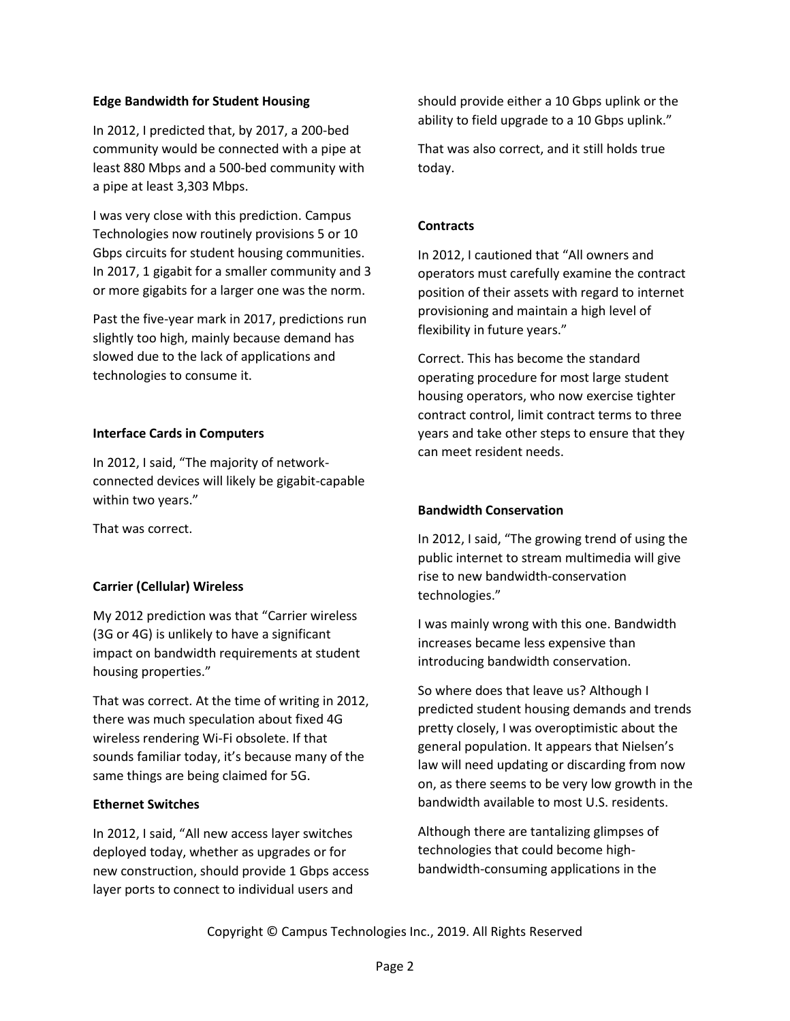#### **Edge Bandwidth for Student Housing**

In 2012, I predicted that, by 2017, a 200-bed community would be connected with a pipe at least 880 Mbps and a 500-bed community with a pipe at least 3,303 Mbps.

I was very close with this prediction. Campus Technologies now routinely provisions 5 or 10 Gbps circuits for student housing communities. In 2017, 1 gigabit for a smaller community and 3 or more gigabits for a larger one was the norm.

Past the five-year mark in 2017, predictions run slightly too high, mainly because demand has slowed due to the lack of applications and technologies to consume it.

#### **Interface Cards in Computers**

In 2012, I said, "The majority of networkconnected devices will likely be gigabit-capable within two years."

That was correct.

## **Carrier (Cellular) Wireless**

My 2012 prediction was that "Carrier wireless (3G or 4G) is unlikely to have a significant impact on bandwidth requirements at student housing properties."

That was correct. At the time of writing in 2012, there was much speculation about fixed 4G wireless rendering Wi-Fi obsolete. If that sounds familiar today, it's because many of the same things are being claimed for 5G.

#### **Ethernet Switches**

In 2012, I said, "All new access layer switches deployed today, whether as upgrades or for new construction, should provide 1 Gbps access layer ports to connect to individual users and

should provide either a 10 Gbps uplink or the ability to field upgrade to a 10 Gbps uplink."

That was also correct, and it still holds true today.

### **Contracts**

In 2012, I cautioned that "All owners and operators must carefully examine the contract position of their assets with regard to internet provisioning and maintain a high level of flexibility in future years."

Correct. This has become the standard operating procedure for most large student housing operators, who now exercise tighter contract control, limit contract terms to three years and take other steps to ensure that they can meet resident needs.

#### **Bandwidth Conservation**

In 2012, I said, "The growing trend of using the public internet to stream multimedia will give rise to new bandwidth-conservation technologies."

I was mainly wrong with this one. Bandwidth increases became less expensive than introducing bandwidth conservation.

So where does that leave us? Although I predicted student housing demands and trends pretty closely, I was overoptimistic about the general population. It appears that Nielsen's law will need updating or discarding from now on, as there seems to be very low growth in the bandwidth available to most U.S. residents.

Although there are tantalizing glimpses of technologies that could become highbandwidth-consuming applications in the

Copyright © Campus Technologies Inc., 2019. All Rights Reserved